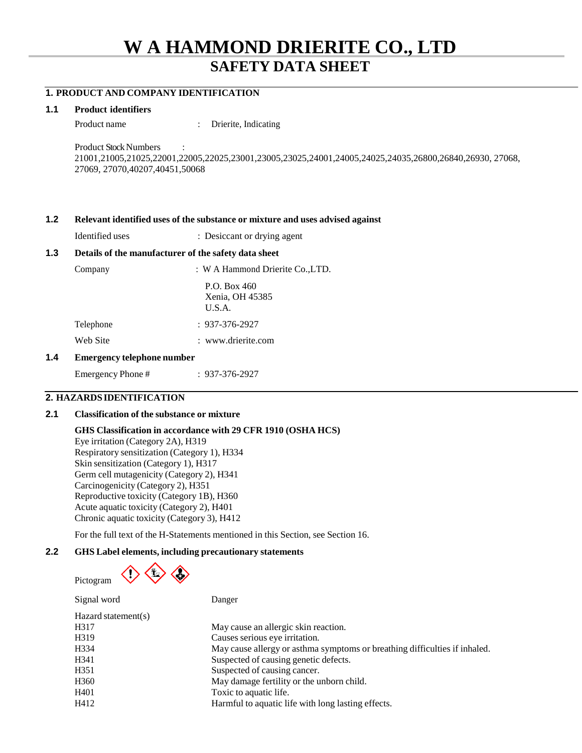# **W A HAMMOND DRIERITE CO., LTD SAFETY DATA SHEET**

## **1. PRODUCT AND COMPANY IDENTIFICATION**

#### **1.1 Product identifiers**

Product name : Drierite, Indicating

Product Stock Numbers : 21001,21005,21025,22001,22005,22025,23001,23005,23025,24001,24005,24025,24035,26800,26840,26930, 27068, 27069, 27070,40207,40451,50068

#### **1.2 Relevant identified uses of the substance or mixture and uses advised against**

Identified uses : Desiccant or drying agent

## **1.3 Details of the manufacturer of the safety data sheet**

| Company                                       | : W A Hammond Drierite Co., LTD.            |
|-----------------------------------------------|---------------------------------------------|
|                                               | P.O. Box $460$<br>Xenia, OH 45385<br>U.S.A. |
| Telephone                                     | $: 937 - 376 - 2927$                        |
| Web Site                                      | : www.drierite.com                          |
| Fine company are del con la companyamente con |                                             |

## **1.4 Emergency telephone number**

Emergency Phone # : 937-376-2927

## **2. HAZARDSIDENTIFICATION**

#### **2.1 Classification of the substance or mixture**

**GHS Classification in accordance with 29 CFR 1910 (OSHA HCS)** Eye irritation (Category 2A), H319 Respiratory sensitization (Category 1), H334 Skin sensitization (Category 1), H317 Germ cell mutagenicity (Category 2), H341 Carcinogenicity (Category 2), H351 Reproductive toxicity (Category 1B), H360 Acute aquatic toxicity (Category 2), H401 Chronic aquatic toxicity (Category 3), H412

For the full text of the H-Statements mentioned in this Section, see Section 16.

## **2.2 GHS Label elements, including precautionary statements**

 $\langle \cdot \rangle \langle \cdot \rangle \langle \cdot \rangle$ Pictogram

| Signal word         | Danger                                                                     |
|---------------------|----------------------------------------------------------------------------|
| Hazard statement(s) |                                                                            |
| H317                | May cause an allergic skin reaction.                                       |
| H319                | Causes serious eye irritation.                                             |
| H334                | May cause allergy or asthma symptoms or breathing difficulties if inhaled. |
| H341                | Suspected of causing genetic defects.                                      |
| H351                | Suspected of causing cancer.                                               |
| H <sub>360</sub>    | May damage fertility or the unborn child.                                  |
| H401                | Toxic to aquatic life.                                                     |
| H412                | Harmful to aquatic life with long lasting effects.                         |
|                     |                                                                            |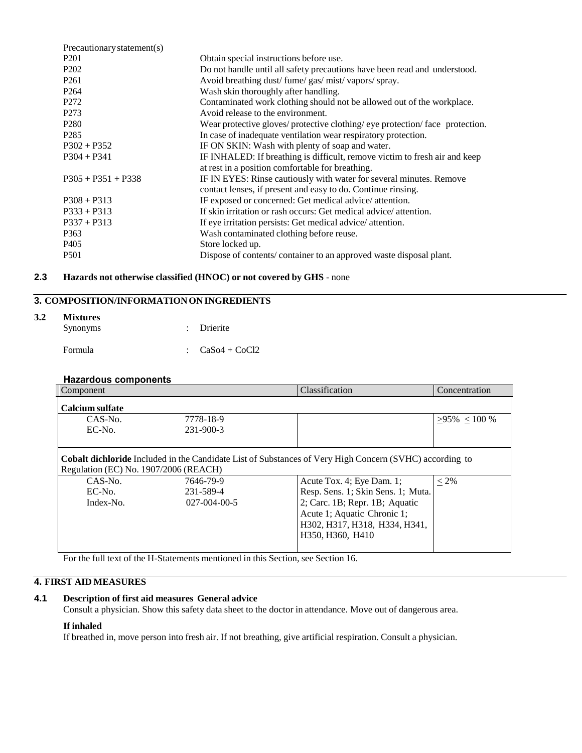| Precautionary statement(s) |                                                                               |
|----------------------------|-------------------------------------------------------------------------------|
| P <sub>201</sub>           | Obtain special instructions before use.                                       |
| P <sub>202</sub>           | Do not handle until all safety precautions have been read and understood.     |
| P <sub>261</sub>           | Avoid breathing dust/fume/gas/mist/vapors/spray.                              |
| P <sub>264</sub>           | Wash skin thoroughly after handling.                                          |
| P <sub>272</sub>           | Contaminated work clothing should not be allowed out of the workplace.        |
| P <sub>273</sub>           | Avoid release to the environment.                                             |
| P <sub>280</sub>           | Wear protective gloves/ protective clothing/ eye protection/ face protection. |
| P <sub>2</sub> 85          | In case of inadequate ventilation wear respiratory protection.                |
| $P302 + P352$              | IF ON SKIN: Wash with plenty of soap and water.                               |
| $P304 + P341$              | IF INHALED: If breathing is difficult, remove victim to fresh air and keep    |
|                            | at rest in a position comfortable for breathing.                              |
| $P305 + P351 + P338$       | IF IN EYES: Rinse cautiously with water for several minutes. Remove           |
|                            | contact lenses, if present and easy to do. Continue rinsing.                  |
| $P308 + P313$              | IF exposed or concerned: Get medical advice/attention.                        |
| $P333 + P313$              | If skin irritation or rash occurs: Get medical advice/attention.              |
| $P337 + P313$              | If eye irritation persists: Get medical advice/attention.                     |
| P363                       | Wash contaminated clothing before reuse.                                      |
| P <sub>405</sub>           | Store locked up.                                                              |
| <b>P501</b>                | Dispose of contents/container to an approved waste disposal plant.            |
|                            |                                                                               |

## **2.3 Hazards not otherwise classified (HNOC) or not covered by GHS** - none

## **3. COMPOSITION/INFORMATIONONINGREDIENTS**

#### **3.2 Mixtures**

| **************<br>Synonyms | : Drierite                 |
|----------------------------|----------------------------|
| Formula                    | $\therefore$ CaSo4 + CoCl2 |

## **Hazardous components**

| Component       |                                                                                                                                                         | Classification                     | Concentration   |
|-----------------|---------------------------------------------------------------------------------------------------------------------------------------------------------|------------------------------------|-----------------|
| Calcium sulfate |                                                                                                                                                         |                                    |                 |
| $CAS-N0$ .      | 7778-18-9                                                                                                                                               |                                    | $>95\% < 100\%$ |
| EC-No.          | 231-900-3                                                                                                                                               |                                    |                 |
|                 |                                                                                                                                                         |                                    |                 |
|                 | <b>Cobalt dichloride</b> Included in the Candidate List of Substances of Very High Concern (SVHC) according to<br>Regulation (EC) No. 1907/2006 (REACH) |                                    |                 |
| CAS-No.         | 7646-79-9                                                                                                                                               | Acute Tox. 4; Eye Dam. 1;          | $\leq 2\%$      |
| EC-No.          | 231-589-4                                                                                                                                               | Resp. Sens. 1; Skin Sens. 1; Muta. |                 |
| Index-No.       | $027 - 004 - 00 - 5$                                                                                                                                    | 2; Carc. 1B; Repr. 1B; Aquatic     |                 |
|                 |                                                                                                                                                         | Acute 1; Aquatic Chronic 1;        |                 |
|                 |                                                                                                                                                         | H302, H317, H318, H334, H341,      |                 |
|                 |                                                                                                                                                         | H350, H360, H410                   |                 |
|                 |                                                                                                                                                         |                                    |                 |

For the full text of the H-Statements mentioned in this Section, see Section 16.

## **4. FIRST AID MEASURES**

## **4.1 Description of first aid measures General advice**

Consult a physician. Show this safety data sheet to the doctor in attendance. Move out of dangerous area.

## **If inhaled**

If breathed in, move person into fresh air. If not breathing, give artificial respiration. Consult a physician.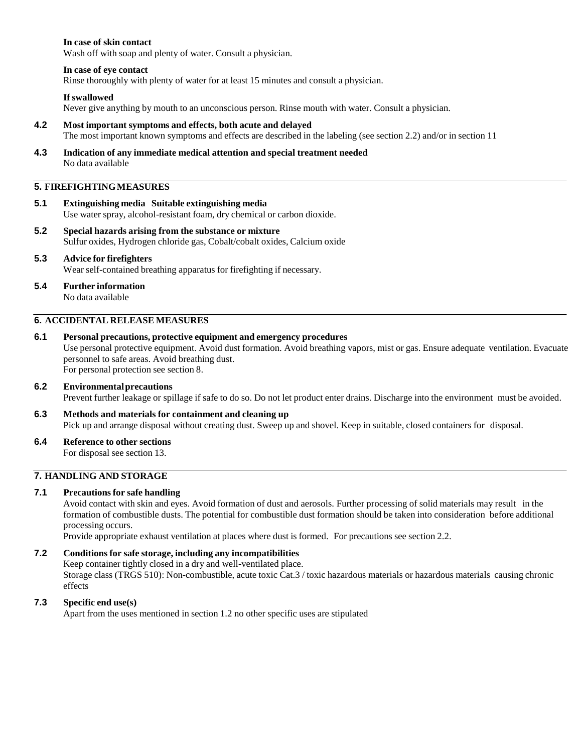## **In case of skin contact**

Wash off with soap and plenty of water. Consult a physician.

## **In case of eye contact**

Rinse thoroughly with plenty of water for at least 15 minutes and consult a physician.

#### **If swallowed**

Never give anything by mouth to an unconscious person. Rinse mouth with water. Consult a physician.

#### **4.2 Most important symptoms and effects, both acute and delayed** The most important known symptoms and effects are described in the labeling (see section 2.2) and/or in section 11

**4.3 Indication of any immediate medical attention and special treatment needed** No data available

## **5. FIREFIGHTINGMEASURES**

- **5.1 Extinguishing media Suitable extinguishing media** Use water spray, alcohol-resistant foam, dry chemical or carbon dioxide.
- **5.2 Special hazards arising from the substance or mixture** Sulfur oxides, Hydrogen chloride gas, Cobalt/cobalt oxides, Calcium oxide
- **5.3 Advice for firefighters** Wear self-contained breathing apparatus for firefighting if necessary.
- **5.4 Further information**

No data available

## **6. ACCIDENTAL RELEASE MEASURES**

## **6.1 Personal precautions, protective equipment and emergency procedures**

Use personal protective equipment. Avoid dust formation. Avoid breathing vapors, mist or gas. Ensure adequate ventilation. Evacuate personnel to safe areas. Avoid breathing dust.

For personal protection see section 8.

## **6.2 Environmentalprecautions**

Prevent further leakage or spillage if safe to do so. Do not let product enter drains. Discharge into the environment must be avoided.

- **6.3 Methods and materials for containment and cleaning up** Pick up and arrange disposal without creating dust. Sweep up and shovel. Keep in suitable, closed containers for disposal.
- **6.4 Reference to other sections**

For disposal see section 13.

## **7. HANDLING AND STORAGE**

## **7.1 Precautionsfor safe handling**

Avoid contact with skin and eyes. Avoid formation of dust and aerosols. Further processing of solid materials may result in the formation of combustible dusts. The potential for combustible dust formation should be taken into consideration before additional processing occurs.

Provide appropriate exhaust ventilation at places where dust is formed. For precautions see section 2.2.

## **7.2 Conditions for safe storage, including any incompatibilities**

Keep container tightly closed in a dry and well-ventilated place. Storage class (TRGS 510): Non-combustible, acute toxic Cat.3 / toxic hazardous materials or hazardous materials causing chronic effects

## **7.3 Specific end use(s)**

Apart from the uses mentioned in section 1.2 no other specific uses are stipulated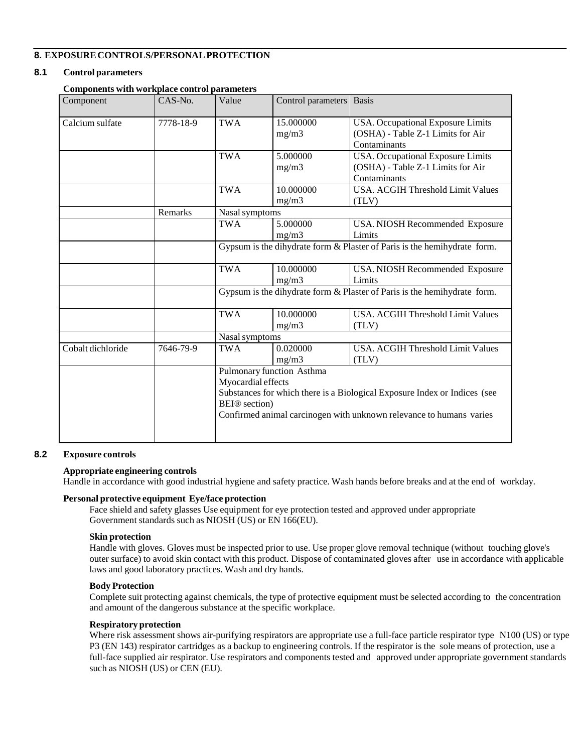## **8. EXPOSURECONTROLS/PERSONALPROTECTION**

## **8.1 Control parameters**

## **Components with workplace control parameters**

| Component         | CAS-No.   | Value                                                                                                                                                                                                                                   | Control parameters                                                       | <b>Basis</b>                                                                           |  |
|-------------------|-----------|-----------------------------------------------------------------------------------------------------------------------------------------------------------------------------------------------------------------------------------------|--------------------------------------------------------------------------|----------------------------------------------------------------------------------------|--|
| Calcium sulfate   | 7778-18-9 | <b>TWA</b>                                                                                                                                                                                                                              | 15.000000<br>mg/m3                                                       | USA. Occupational Exposure Limits<br>(OSHA) - Table Z-1 Limits for Air<br>Contaminants |  |
|                   |           | <b>TWA</b>                                                                                                                                                                                                                              | 5.000000<br>mg/m3                                                        | USA. Occupational Exposure Limits<br>(OSHA) - Table Z-1 Limits for Air<br>Contaminants |  |
|                   |           | <b>TWA</b>                                                                                                                                                                                                                              | 10.000000<br>mg/m3                                                       | <b>USA. ACGIH Threshold Limit Values</b><br>(TLV)                                      |  |
|                   | Remarks   | Nasal symptoms                                                                                                                                                                                                                          |                                                                          |                                                                                        |  |
|                   |           | <b>TWA</b>                                                                                                                                                                                                                              | 5.000000<br>mg/m3                                                        | USA. NIOSH Recommended Exposure<br>Limits                                              |  |
|                   |           |                                                                                                                                                                                                                                         | Gypsum is the dihydrate form & Plaster of Paris is the hemihydrate form. |                                                                                        |  |
|                   |           | <b>TWA</b>                                                                                                                                                                                                                              | 10.000000<br>mg/m3                                                       | USA. NIOSH Recommended Exposure<br>Limits                                              |  |
|                   |           |                                                                                                                                                                                                                                         | Gypsum is the dihydrate form & Plaster of Paris is the hemihydrate form. |                                                                                        |  |
|                   |           | <b>TWA</b>                                                                                                                                                                                                                              | 10.000000<br>mg/m3                                                       | <b>USA. ACGIH Threshold Limit Values</b><br>(TLV)                                      |  |
|                   |           | Nasal symptoms                                                                                                                                                                                                                          |                                                                          |                                                                                        |  |
| Cobalt dichloride | 7646-79-9 | <b>TWA</b>                                                                                                                                                                                                                              | 0.020000<br>mg/m3                                                        | <b>USA. ACGIH Threshold Limit Values</b><br>(TLV)                                      |  |
|                   |           | Pulmonary function Asthma<br>Myocardial effects<br>Substances for which there is a Biological Exposure Index or Indices (see<br><b>BEI</b> <sup>®</sup> section)<br>Confirmed animal carcinogen with unknown relevance to humans varies |                                                                          |                                                                                        |  |

#### **8.2 Exposure controls**

## **Appropriate engineering controls**

Handle in accordance with good industrial hygiene and safety practice. Wash hands before breaks and at the end of workday.

## **Personal protective equipment Eye/face protection**

Face shield and safety glasses Use equipment for eye protection tested and approved under appropriate Government standards such as NIOSH (US) or EN 166(EU).

#### **Skin protection**

Handle with gloves. Gloves must be inspected prior to use. Use proper glove removal technique (without touching glove's outer surface) to avoid skin contact with this product. Dispose of contaminated gloves after use in accordance with applicable laws and good laboratory practices. Wash and dry hands.

#### **Body Protection**

Complete suit protecting against chemicals, the type of protective equipment must be selected according to the concentration and amount of the dangerous substance at the specific workplace.

#### **Respiratory protection**

Where risk assessment shows air-purifying respirators are appropriate use a full-face particle respirator type N100 (US) or type P3 (EN 143) respirator cartridges as a backup to engineering controls. If the respirator is the sole means of protection, use a full-face supplied air respirator. Use respirators and components tested and approved under appropriate government standards such as NIOSH (US) or CEN (EU).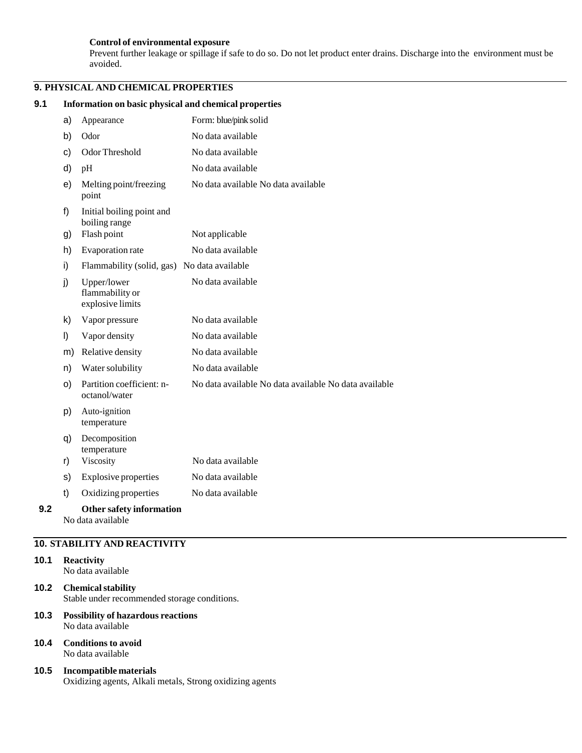#### **Control of environmental exposure**

Prevent further leakage or spillage if safe to do so. Do not let product enter drains. Discharge into the environment must be avoided.

## **9. PHYSICAL AND CHEMICAL PROPERTIES**

## **9.1 Information on basic physical and chemical properties** a) Appearance Form: blue/pink solid b) Odor No data available c) Odor Threshold No data available d) pH No data available e) Melting point/freezing point f) Initial boiling point and boiling range No data available No data available g) Flash point Not applicable h) Evaporation rate No data available i) Flammability (solid, gas) No data available j) Upper/lower flammability or explosive limits No data available k) Vapor pressure No data available l) Vapor density No data available m) Relative density No data available n) Water solubility No data available o) Partition coefficient: noctanol/water p) Auto-ignition temperature q) Decomposition temperature No data available No data available No data available r) Viscosity No data available s) Explosive properties No data available t) Oxidizing properties No data available **9.2 Other safety information** No data available

## **10. STABILITY AND REACTIVITY**

## **10.1 Reactivity**

No data available

- **10.2 Chemicalstability** Stable under recommended storage conditions.
- **10.3 Possibility of hazardous reactions** No data available
- **10.4 Conditions to avoid** No data available
- **10.5 Incompatible materials** Oxidizing agents, Alkali metals, Strong oxidizing agents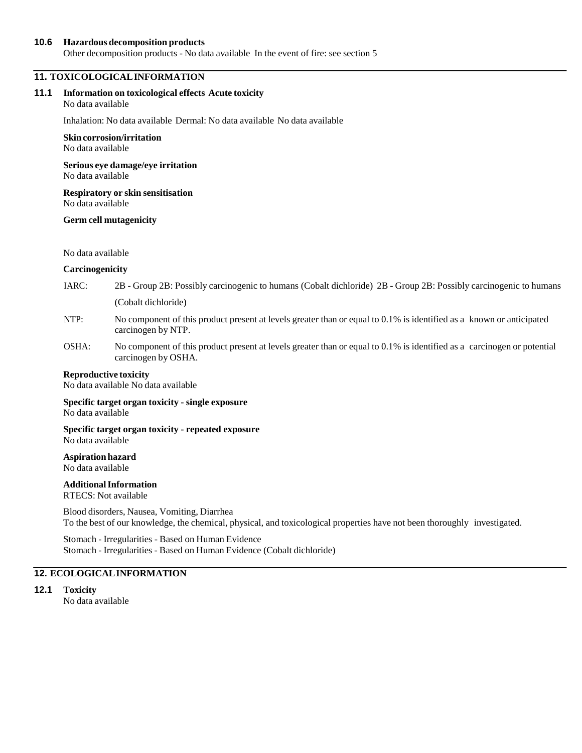#### **10.6 Hazardous decomposition products**

Other decomposition products - No data available In the event of fire: see section 5

## **11. TOXICOLOGICALINFORMATION**

#### **11.1 Information on toxicological effects Acute toxicity**

No data available

Inhalation: No data available Dermal: No data available No data available

#### **Skin corrosion/irritation**

No data available

**Serious eye damage/eye irritation** No data available

**Respiratory or skin sensitisation** No data available

#### **Germ cell mutagenicity**

No data available

#### **Carcinogenicity**

- IARC: 2B Group 2B: Possibly carcinogenic to humans (Cobalt dichloride) 2B Group 2B: Possibly carcinogenic to humans (Cobalt dichloride)
- NTP: No component of this product present at levels greater than or equal to 0.1% is identified as a known or anticipated carcinogen by NTP.
- OSHA: No component of this product present at levels greater than or equal to 0.1% is identified as a carcinogen or potential carcinogen by OSHA.

#### **Reproductive toxicity**

No data available No data available

**Specific target organ toxicity - single exposure** No data available

**Specific target organ toxicity - repeated exposure** No data available

#### **Aspiration hazard** No data available

#### **AdditionalInformation** RTECS: Not available

Blood disorders, Nausea, Vomiting, Diarrhea To the best of our knowledge, the chemical, physical, and toxicological properties have not been thoroughly investigated.

Stomach - Irregularities - Based on Human Evidence Stomach - Irregularities - Based on Human Evidence (Cobalt dichloride)

## **12. ECOLOGICALINFORMATION**

## **12.1 Toxicity**

No data available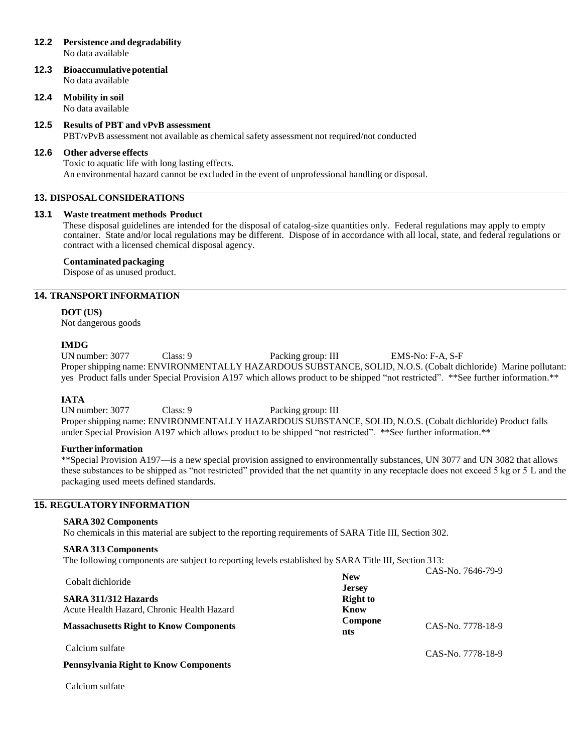## **12.2 Persistence and degradability**

No data available

**12.3 Bioaccumulativepotential** No data available

## **12.4 Mobility in soil**

No data available

## **12.5 Results of PBT and vPvB assessment**

PBT/vPvB assessment not available as chemical safety assessment not required/not conducted

### **12.6 Other adverse effects**

Toxic to aquatic life with long lasting effects. An environmental hazard cannot be excluded in the event of unprofessional handling or disposal.

### **13. DISPOSALCONSIDERATIONS**

### **13.1 Waste treatment methods Product**

These disposal guidelines are intended for the disposal of catalog-size quantities only. Federal regulations may apply to empty container. State and/or local regulations may be different. Dispose of in accordance with all local, state, and federal regulations or contract with a licensed chemical disposal agency.

### **Contaminatedpackaging**

Dispose of as unused product.

## **14. TRANSPORTINFORMATION**

## **DOT (US)**

Not dangerous goods

### **IMDG**

UN number: 3077 Class: 9 Packing group: III EMS-No: F-A, S-F Proper shipping name: ENVIRONMENTALLY HAZARDOUS SUBSTANCE, SOLID, N.O.S. (Cobalt dichloride) Marine pollutant: yes Product falls under Special Provision A197 which allows product to be shipped "not restricted". \*\*See further information.\*\*

**IATA**<br> **IN** number: 3077 Class: 9 Packing group: III Proper shipping name: ENVIRONMENTALLY HAZARDOUS SUBSTANCE, SOLID, N.O.S. (Cobalt dichloride) Product falls under Special Provision A197 which allows product to be shipped "not restricted". \*\*See further information.\*\*

## **Further information**

\*\*Special Provision A197—is a new special provision assigned to environmentally substances, UN 3077 and UN 3082 that allows these substances to be shipped as "not restricted" provided that the net quantity in any receptacle does not exceed 5 kg or 5 L and the packaging used meets defined standards.

## **15. REGULATORYINFORMATION**

#### **SARA 302 Components**

No chemicals in this material are subject to the reporting requirements of SARA Title III, Section 302.

#### **SARA 313 Components**

The following components are subject to reporting levels established by SARA Title III, Section 313:

| Cobalt dichloride<br>SARA 311/312 Hazards<br>Acute Health Hazard, Chronic Health Hazard<br><b>Massachusetts Right to Know Components</b> | <b>New</b><br><b>Jersey</b><br><b>Right to</b><br>Know<br>Compone<br>nts | CAS-No. 7646-79-9<br>CAS-No. 7778-18-9 |
|------------------------------------------------------------------------------------------------------------------------------------------|--------------------------------------------------------------------------|----------------------------------------|
| Calcium sulfate<br><b>Pennsylvania Right to Know Components</b>                                                                          |                                                                          | CAS-No. 7778-18-9                      |

Calcium sulfate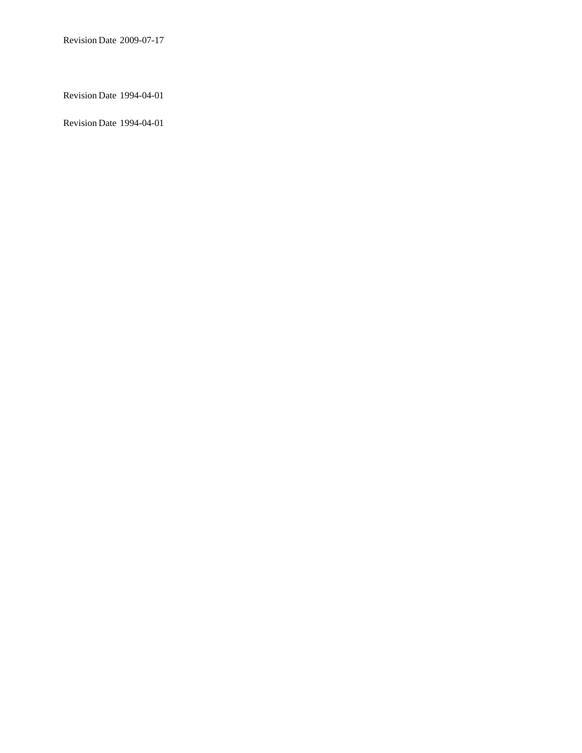Revision Date 1994-04-01

Revision Date 1994-04-01